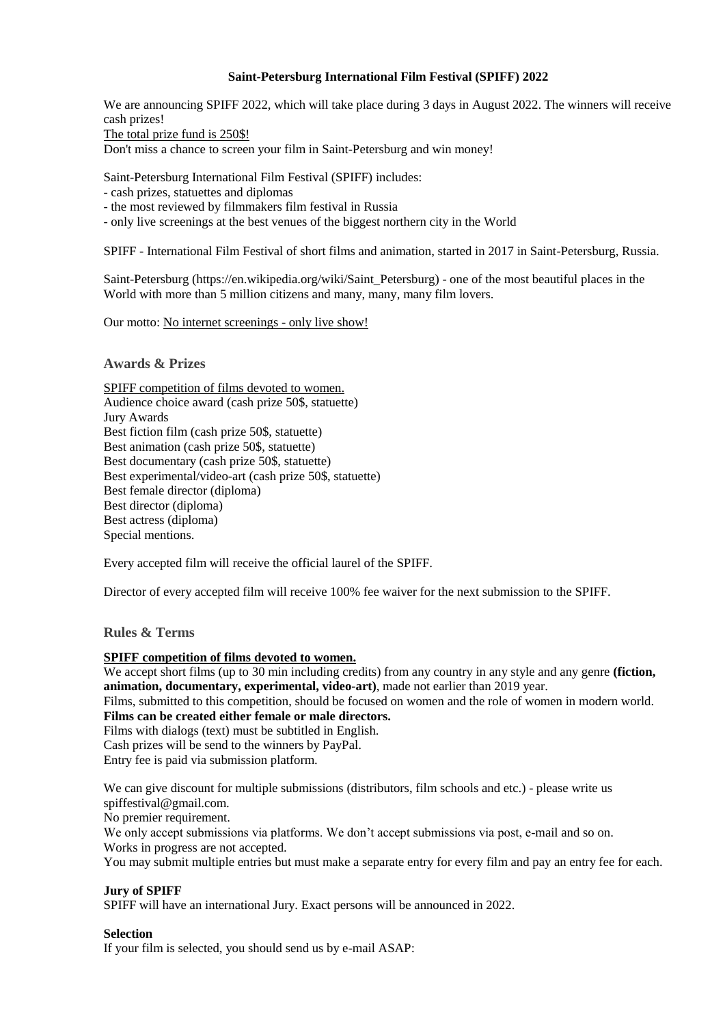## **Saint-Petersburg International Film Festival (SPIFF) 2022**

We are announcing SPIFF 2022, which will take place during 3 days in August 2022. The winners will receive cash prizes!

The total prize fund is 250\$!

Don't miss a chance to screen your film in Saint-Petersburg and win money!

Saint-Petersburg International Film Festival (SPIFF) includes:

- cash prizes, statuettes and diplomas
- the most reviewed by filmmakers film festival in Russia

- only live screenings at the best venues of the biggest northern city in the World

SPIFF - International Film Festival of short films and animation, started in 2017 in Saint-Petersburg, Russia.

Saint-Petersburg (https://en.wikipedia.org/wiki/Saint\_Petersburg) - one of the most beautiful places in the World with more than 5 million citizens and many, many, many film lovers.

Our motto: No internet screenings - only live show!

### **Awards & Prizes**

SPIFF competition of films devoted to women. Audience choice award (cash prize 50\$, statuette) Jury Awards Best fiction film (cash prize 50\$, statuette) Best animation (cash prize 50\$, statuette) Best documentary (cash prize 50\$, statuette) Best experimental/video-art (cash prize 50\$, statuette) Best female director (diploma) Best director (diploma) Best actress (diploma) Special mentions.

Every accepted film will receive the official laurel of the SPIFF.

Director of every accepted film will receive 100% fee waiver for the next submission to the SPIFF.

## **Rules & Terms**

#### **SPIFF competition of films devoted to women.**

We accept short films (up to 30 min including credits) from any country in any style and any genre **(fiction, animation, documentary, experimental, video-art)**, made not earlier than 2019 year.

Films, submitted to this competition, should be focused on women and the role of women in modern world. **Films can be created either female or male directors.**

Films with dialogs (text) must be subtitled in English.

Cash prizes will be send to the winners by PayPal.

Entry fee is paid via submission platform.

We can give discount for multiple submissions (distributors, film schools and etc.) - please write us spiffestival@gmail.com.

No premier requirement.

We only accept submissions via platforms. We don't accept submissions via post, e-mail and so on. Works in progress are not accepted.

You may submit multiple entries but must make a separate entry for every film and pay an entry fee for each.

## **Jury of SPIFF**

SPIFF will have an international Jury. Exact persons will be announced in 2022.

#### **Selection**

If your film is selected, you should send us by e-mail ASAP: